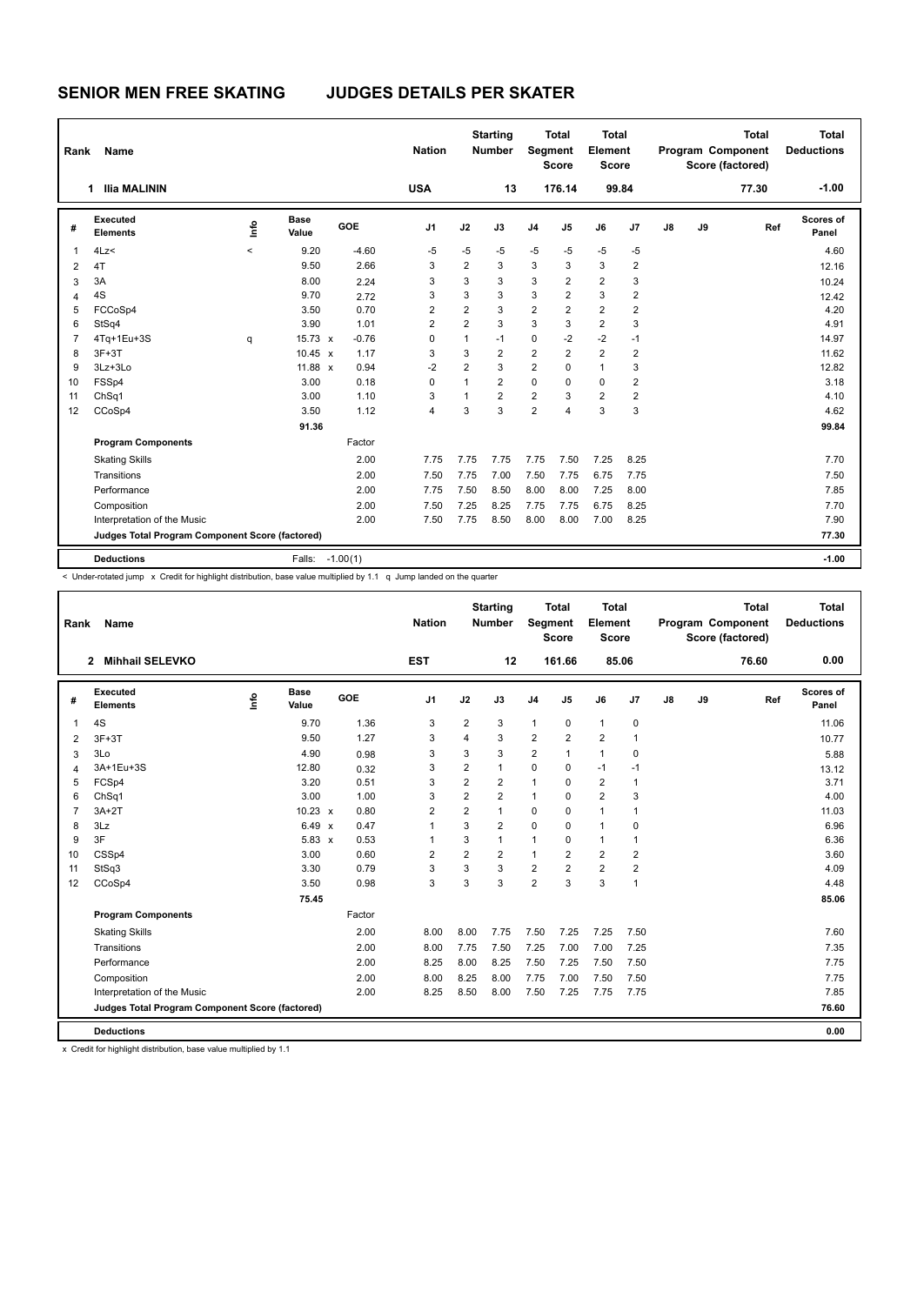| Rank           | Name                                            |         |                      |            | <b>Nation</b>  |                | <b>Starting</b><br><b>Number</b> | Segment        | <b>Total</b><br><b>Score</b> | Total<br>Element<br><b>Score</b> |                |    |    | <b>Total</b><br>Program Component<br>Score (factored) | <b>Total</b><br><b>Deductions</b> |
|----------------|-------------------------------------------------|---------|----------------------|------------|----------------|----------------|----------------------------------|----------------|------------------------------|----------------------------------|----------------|----|----|-------------------------------------------------------|-----------------------------------|
|                | <b>Ilia MALININ</b><br>1                        |         |                      |            | <b>USA</b>     |                | 13                               |                | 176.14                       |                                  | 99.84          |    |    | 77.30                                                 | $-1.00$                           |
| #              | Executed<br><b>Elements</b>                     | ١m      | <b>Base</b><br>Value | GOE        | J <sub>1</sub> | J2             | J3                               | J <sub>4</sub> | J <sub>5</sub>               | J6                               | J7             | J8 | J9 | Ref                                                   | Scores of<br>Panel                |
| -1             | 4Lz<                                            | $\prec$ | 9.20                 | $-4.60$    | -5             | $-5$           | $-5$                             | $-5$           | $-5$                         | -5                               | $-5$           |    |    |                                                       | 4.60                              |
| $\overline{2}$ | 4T                                              |         | 9.50                 | 2.66       | 3              | $\overline{2}$ | 3                                | 3              | 3                            | $\mathbf{3}$                     | $\overline{2}$ |    |    |                                                       | 12.16                             |
| 3              | 3A                                              |         | 8.00                 | 2.24       | 3              | 3              | 3                                | 3              | $\overline{2}$               | $\overline{2}$                   | 3              |    |    |                                                       | 10.24                             |
| 4              | 4S                                              |         | 9.70                 | 2.72       | 3              | 3              | 3                                | 3              | 2                            | 3                                | $\overline{2}$ |    |    |                                                       | 12.42                             |
| 5              | FCCoSp4                                         |         | 3.50                 | 0.70       | $\overline{2}$ | $\overline{2}$ | 3                                | $\overline{2}$ | $\overline{2}$               | $\overline{2}$                   | $\overline{2}$ |    |    |                                                       | 4.20                              |
| 6              | StSq4                                           |         | 3.90                 | 1.01       | $\overline{2}$ | $\overline{2}$ | 3                                | 3              | 3                            | $\overline{2}$                   | 3              |    |    |                                                       | 4.91                              |
| $\overline{7}$ | 4Tq+1Eu+3S                                      | q       | $15.73 \times$       | $-0.76$    | $\Omega$       | 1              | $-1$                             | $\mathbf 0$    | $-2$                         | $-2$                             | $-1$           |    |    |                                                       | 14.97                             |
| 8              | $3F+3T$                                         |         | $10.45 \times$       | 1.17       | 3              | 3              | $\overline{2}$                   | $\overline{2}$ | $\overline{2}$               | $\overline{2}$                   | 2              |    |    |                                                       | 11.62                             |
| 9              | 3Lz+3Lo                                         |         | 11.88 $x$            | 0.94       | $-2$           | $\overline{2}$ | 3                                | $\overline{2}$ | $\mathbf 0$                  | $\mathbf{1}$                     | 3              |    |    |                                                       | 12.82                             |
| 10             | FSSp4                                           |         | 3.00                 | 0.18       | $\Omega$       | $\mathbf{1}$   | $\overline{2}$                   | $\Omega$       | $\Omega$                     | $\mathbf 0$                      | 2              |    |    |                                                       | 3.18                              |
| 11             | ChSq1                                           |         | 3.00                 | 1.10       | 3              | $\overline{1}$ | $\overline{2}$                   | $\overline{2}$ | 3                            | $\overline{2}$                   | $\overline{2}$ |    |    |                                                       | 4.10                              |
| 12             | CCoSp4                                          |         | 3.50                 | 1.12       | 4              | 3              | 3                                | $\overline{2}$ | 4                            | 3                                | 3              |    |    |                                                       | 4.62                              |
|                |                                                 |         | 91.36                |            |                |                |                                  |                |                              |                                  |                |    |    |                                                       | 99.84                             |
|                | <b>Program Components</b>                       |         |                      | Factor     |                |                |                                  |                |                              |                                  |                |    |    |                                                       |                                   |
|                | <b>Skating Skills</b>                           |         |                      | 2.00       | 7.75           | 7.75           | 7.75                             | 7.75           | 7.50                         | 7.25                             | 8.25           |    |    |                                                       | 7.70                              |
|                | Transitions                                     |         |                      | 2.00       | 7.50           | 7.75           | 7.00                             | 7.50           | 7.75                         | 6.75                             | 7.75           |    |    |                                                       | 7.50                              |
|                | Performance                                     |         |                      | 2.00       | 7.75           | 7.50           | 8.50                             | 8.00           | 8.00                         | 7.25                             | 8.00           |    |    |                                                       | 7.85                              |
|                | Composition                                     |         |                      | 2.00       | 7.50           | 7.25           | 8.25                             | 7.75           | 7.75                         | 6.75                             | 8.25           |    |    |                                                       | 7.70                              |
|                | Interpretation of the Music                     |         |                      | 2.00       | 7.50           | 7.75           | 8.50                             | 8.00           | 8.00                         | 7.00                             | 8.25           |    |    |                                                       | 7.90                              |
|                | Judges Total Program Component Score (factored) |         |                      |            |                |                |                                  |                |                              |                                  |                |    |    |                                                       | 77.30                             |
|                | <b>Deductions</b>                               |         | Falls:               | $-1.00(1)$ |                |                |                                  |                |                              |                                  |                |    |    |                                                       | $-1.00$                           |

< Under-rotated jump x Credit for highlight distribution, base value multiplied by 1.1 q Jump landed on the quarter

| Rank           | Name                                            |    | <b>Nation</b>        |        | <b>Starting</b><br><b>Number</b> | Segment        | <b>Total</b><br><b>Score</b> | <b>Total</b><br>Element<br>Score |                |                |                | <b>Total</b><br>Program Component<br>Score (factored) | Total<br><b>Deductions</b> |       |                           |
|----------------|-------------------------------------------------|----|----------------------|--------|----------------------------------|----------------|------------------------------|----------------------------------|----------------|----------------|----------------|-------------------------------------------------------|----------------------------|-------|---------------------------|
|                | <b>Mihhail SELEVKO</b><br>$\mathbf{2}$          |    |                      |        | <b>EST</b>                       |                | 12                           |                                  | 161.66         |                | 85.06          |                                                       |                            | 76.60 | 0.00                      |
| #              | Executed<br><b>Elements</b>                     | ۴ů | <b>Base</b><br>Value | GOE    | J1                               | J2             | J3                           | J <sub>4</sub>                   | J5             | J6             | J7             | J8                                                    | J9                         | Ref   | <b>Scores of</b><br>Panel |
| 1              | 4S                                              |    | 9.70                 | 1.36   | 3                                | $\overline{2}$ | 3                            | $\mathbf{1}$                     | $\mathbf 0$    | $\mathbf{1}$   | 0              |                                                       |                            |       | 11.06                     |
| $\overline{2}$ | $3F+3T$                                         |    | 9.50                 | 1.27   | 3                                | 4              | 3                            | $\overline{2}$                   | $\overline{2}$ | $\overline{2}$ | 1              |                                                       |                            |       | 10.77                     |
| 3              | 3Lo                                             |    | 4.90                 | 0.98   | 3                                | 3              | 3                            | $\overline{2}$                   | 1              | $\mathbf{1}$   | 0              |                                                       |                            |       | 5.88                      |
| $\overline{4}$ | 3A+1Eu+3S                                       |    | 12.80                | 0.32   | 3                                | $\overline{2}$ | $\mathbf{1}$                 | $\Omega$                         | $\Omega$       | $-1$           | $-1$           |                                                       |                            |       | 13.12                     |
| 5              | FCSp4                                           |    | 3.20                 | 0.51   | 3                                | $\overline{2}$ | $\overline{2}$               | $\mathbf{1}$                     | $\Omega$       | $\overline{2}$ | 1              |                                                       |                            |       | 3.71                      |
| 6              | ChSq1                                           |    | 3.00                 | 1.00   | 3                                | $\overline{2}$ | $\overline{2}$               | $\mathbf{1}$                     | $\Omega$       | $\overline{2}$ | 3              |                                                       |                            |       | 4.00                      |
| $\overline{7}$ | $3A+2T$                                         |    | $10.23 \times$       | 0.80   | $\overline{2}$                   | $\overline{2}$ | $\mathbf{1}$                 | $\mathbf 0$                      | $\Omega$       | $\overline{1}$ | 1              |                                                       |                            |       | 11.03                     |
| 8              | 3Lz                                             |    | 6.49 x               | 0.47   | 1                                | 3              | $\overline{2}$               | $\mathbf 0$                      | 0              | 1              | 0              |                                                       |                            |       | 6.96                      |
| 9              | 3F                                              |    | $5.83 \times$        | 0.53   | 1                                | 3              | 1                            | $\mathbf{1}$                     | $\Omega$       | $\mathbf{1}$   | 1              |                                                       |                            |       | 6.36                      |
| 10             | CSSp4                                           |    | 3.00                 | 0.60   | $\overline{2}$                   | $\overline{2}$ | $\overline{2}$               | $\mathbf{1}$                     | $\overline{2}$ | $\overline{2}$ | $\overline{2}$ |                                                       |                            |       | 3.60                      |
| 11             | StSq3                                           |    | 3.30                 | 0.79   | 3                                | 3              | 3                            | $\overline{2}$                   | $\overline{2}$ | $\overline{2}$ | $\overline{2}$ |                                                       |                            |       | 4.09                      |
| 12             | CCoSp4                                          |    | 3.50                 | 0.98   | 3                                | 3              | 3                            | $\overline{2}$                   | 3              | 3              | $\mathbf{1}$   |                                                       |                            |       | 4.48                      |
|                |                                                 |    | 75.45                |        |                                  |                |                              |                                  |                |                |                |                                                       |                            |       | 85.06                     |
|                | <b>Program Components</b>                       |    |                      | Factor |                                  |                |                              |                                  |                |                |                |                                                       |                            |       |                           |
|                | <b>Skating Skills</b>                           |    |                      | 2.00   | 8.00                             | 8.00           | 7.75                         | 7.50                             | 7.25           | 7.25           | 7.50           |                                                       |                            |       | 7.60                      |
|                | Transitions                                     |    |                      | 2.00   | 8.00                             | 7.75           | 7.50                         | 7.25                             | 7.00           | 7.00           | 7.25           |                                                       |                            |       | 7.35                      |
|                | Performance                                     |    |                      | 2.00   | 8.25                             | 8.00           | 8.25                         | 7.50                             | 7.25           | 7.50           | 7.50           |                                                       |                            |       | 7.75                      |
|                | Composition                                     |    |                      | 2.00   | 8.00                             | 8.25           | 8.00                         | 7.75                             | 7.00           | 7.50           | 7.50           |                                                       |                            |       | 7.75                      |
|                | Interpretation of the Music                     |    |                      | 2.00   | 8.25                             | 8.50           | 8.00                         | 7.50                             | 7.25           | 7.75           | 7.75           |                                                       |                            |       | 7.85                      |
|                | Judges Total Program Component Score (factored) |    |                      |        |                                  |                |                              |                                  |                |                |                |                                                       |                            |       | 76.60                     |
|                | <b>Deductions</b>                               |    |                      |        |                                  |                |                              |                                  |                |                |                |                                                       |                            |       | 0.00                      |

x Credit for highlight distribution, base value multiplied by 1.1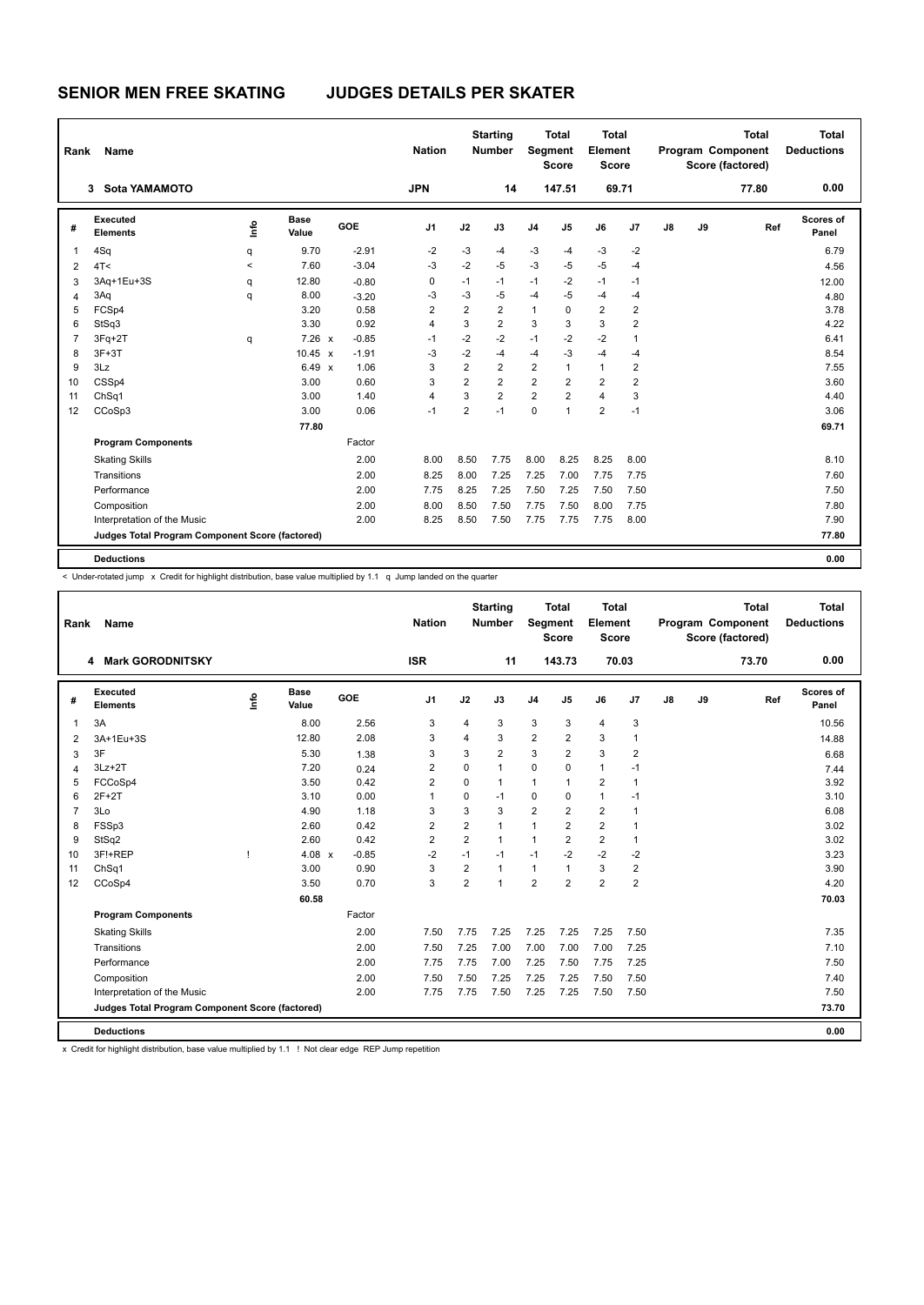| Rank | Name                                            |         |                      |         | <b>Nation</b>  |                | <b>Starting</b><br><b>Number</b> | Segment        | <b>Total</b><br><b>Score</b> | <b>Total</b><br>Element<br><b>Score</b> |                |    |    | <b>Total</b><br>Program Component<br>Score (factored) | <b>Total</b><br><b>Deductions</b> |
|------|-------------------------------------------------|---------|----------------------|---------|----------------|----------------|----------------------------------|----------------|------------------------------|-----------------------------------------|----------------|----|----|-------------------------------------------------------|-----------------------------------|
|      | <b>Sota YAMAMOTO</b><br>3                       |         |                      |         | <b>JPN</b>     |                | 14                               |                | 147.51                       | 69.71                                   |                |    |    | 77.80                                                 | 0.00                              |
| #    | Executed<br><b>Elements</b>                     | lmo     | <b>Base</b><br>Value | GOE     | J <sub>1</sub> | J2             | J3                               | J <sub>4</sub> | J <sub>5</sub>               | J6                                      | J <sub>7</sub> | J8 | J9 | Ref                                                   | <b>Scores of</b><br>Panel         |
| 1    | 4Sq                                             | q       | 9.70                 | $-2.91$ | $-2$           | $-3$           | -4                               | $-3$           | $-4$                         | $-3$                                    | $-2$           |    |    |                                                       | 6.79                              |
| 2    | 4T <                                            | $\prec$ | 7.60                 | $-3.04$ | -3             | $-2$           | -5                               | $-3$           | $-5$                         | $-5$                                    | $-4$           |    |    |                                                       | 4.56                              |
| 3    | 3Aq+1Eu+3S                                      | q       | 12.80                | $-0.80$ | 0              | $-1$           | $-1$                             | $-1$           | $-2$                         | $-1$                                    | $-1$           |    |    |                                                       | 12.00                             |
| 4    | 3Aq                                             | q       | 8.00                 | $-3.20$ | -3             | $-3$           | $-5$                             | $-4$           | $-5$                         | $-4$                                    | $-4$           |    |    |                                                       | 4.80                              |
| 5    | FCSp4                                           |         | 3.20                 | 0.58    | $\overline{2}$ | $\overline{2}$ | $\overline{2}$                   | $\mathbf{1}$   | $\Omega$                     | $\overline{2}$                          | $\overline{2}$ |    |    |                                                       | 3.78                              |
| 6    | StSq3                                           |         | 3.30                 | 0.92    | 4              | 3              | $\overline{2}$                   | 3              | 3                            | 3                                       | $\overline{2}$ |    |    |                                                       | 4.22                              |
| 7    | 3Fq+2T                                          | q       | 7.26 x               | $-0.85$ | $-1$           | $-2$           | $-2$                             | $-1$           | $-2$                         | $-2$                                    | $\mathbf{1}$   |    |    |                                                       | 6.41                              |
| 8    | $3F+3T$                                         |         | $10.45 \times$       | $-1.91$ | $-3$           | $-2$           | $-4$                             | $-4$           | $-3$                         | $-4$                                    | $-4$           |    |    |                                                       | 8.54                              |
| 9    | 3Lz                                             |         | 6.49 x               | 1.06    | 3              | $\overline{2}$ | $\overline{2}$                   | $\overline{2}$ | $\mathbf{1}$                 | $\mathbf{1}$                            | $\overline{2}$ |    |    |                                                       | 7.55                              |
| 10   | CSSp4                                           |         | 3.00                 | 0.60    | 3              | $\overline{2}$ | $\overline{2}$                   | $\overline{2}$ | $\overline{2}$               | $\overline{2}$                          | $\overline{2}$ |    |    |                                                       | 3.60                              |
| 11   | ChSq1                                           |         | 3.00                 | 1.40    | 4              | 3              | $\overline{2}$                   | $\overline{2}$ | $\overline{2}$               | $\overline{4}$                          | 3              |    |    |                                                       | 4.40                              |
| 12   | CCoSp3                                          |         | 3.00                 | 0.06    | $-1$           | $\overline{2}$ | $-1$                             | $\mathbf 0$    | 1                            | $\overline{2}$                          | $-1$           |    |    |                                                       | 3.06                              |
|      |                                                 |         | 77.80                |         |                |                |                                  |                |                              |                                         |                |    |    |                                                       | 69.71                             |
|      | <b>Program Components</b>                       |         |                      | Factor  |                |                |                                  |                |                              |                                         |                |    |    |                                                       |                                   |
|      | <b>Skating Skills</b>                           |         |                      | 2.00    | 8.00           | 8.50           | 7.75                             | 8.00           | 8.25                         | 8.25                                    | 8.00           |    |    |                                                       | 8.10                              |
|      | Transitions                                     |         |                      | 2.00    | 8.25           | 8.00           | 7.25                             | 7.25           | 7.00                         | 7.75                                    | 7.75           |    |    |                                                       | 7.60                              |
|      | Performance                                     |         |                      | 2.00    | 7.75           | 8.25           | 7.25                             | 7.50           | 7.25                         | 7.50                                    | 7.50           |    |    |                                                       | 7.50                              |
|      | Composition                                     |         |                      | 2.00    | 8.00           | 8.50           | 7.50                             | 7.75           | 7.50                         | 8.00                                    | 7.75           |    |    |                                                       | 7.80                              |
|      | Interpretation of the Music                     |         |                      | 2.00    | 8.25           | 8.50           | 7.50                             | 7.75           | 7.75                         | 7.75                                    | 8.00           |    |    |                                                       | 7.90                              |
|      | Judges Total Program Component Score (factored) |         |                      |         |                |                |                                  |                |                              |                                         |                |    |    |                                                       | 77.80                             |
|      | <b>Deductions</b>                               |         |                      |         |                |                |                                  |                |                              |                                         |                |    |    |                                                       | 0.00                              |

< Under-rotated jump x Credit for highlight distribution, base value multiplied by 1.1 q Jump landed on the quarter

| Rank           | Name                                            |      |                      |         | <b>Nation</b>  |                | <b>Starting</b><br><b>Number</b> | Segment        | <b>Total</b><br><b>Score</b> | Total<br>Element<br><b>Score</b> |                |    |    | <b>Total</b><br>Program Component<br>Score (factored) | <b>Total</b><br><b>Deductions</b> |
|----------------|-------------------------------------------------|------|----------------------|---------|----------------|----------------|----------------------------------|----------------|------------------------------|----------------------------------|----------------|----|----|-------------------------------------------------------|-----------------------------------|
|                | <b>Mark GORODNITSKY</b><br>4                    |      |                      |         | <b>ISR</b>     |                | 11                               |                | 143.73                       |                                  | 70.03          |    |    | 73.70                                                 | 0.00                              |
| #              | Executed<br><b>Elements</b>                     | lnfo | <b>Base</b><br>Value | GOE     | J <sub>1</sub> | J2             | J3                               | J <sub>4</sub> | J5                           | J6                               | J7             | J8 | J9 | Ref                                                   | Scores of<br>Panel                |
| 1              | 3A                                              |      | 8.00                 | 2.56    | 3              | 4              | 3                                | 3              | 3                            | $\overline{4}$                   | 3              |    |    |                                                       | 10.56                             |
| 2              | 3A+1Eu+3S                                       |      | 12.80                | 2.08    | 3              | 4              | 3                                | $\overline{2}$ | $\overline{2}$               | 3                                | $\mathbf{1}$   |    |    |                                                       | 14.88                             |
| 3              | 3F                                              |      | 5.30                 | 1.38    | 3              | 3              | 2                                | 3              | 2                            | 3                                | $\overline{2}$ |    |    |                                                       | 6.68                              |
| 4              | $3Lz + 2T$                                      |      | 7.20                 | 0.24    | $\overline{2}$ | $\mathbf 0$    | $\mathbf{1}$                     | $\mathbf 0$    | $\Omega$                     | $\mathbf{1}$                     | $-1$           |    |    |                                                       | 7.44                              |
| 5              | FCCoSp4                                         |      | 3.50                 | 0.42    | $\overline{2}$ | 0              | 1                                | 1              | 1                            | $\overline{2}$                   | $\mathbf{1}$   |    |    |                                                       | 3.92                              |
| 6              | $2F+2T$                                         |      | 3.10                 | 0.00    | $\mathbf{1}$   | 0              | $-1$                             | 0              | 0                            | $\mathbf{1}$                     | $-1$           |    |    |                                                       | 3.10                              |
| $\overline{7}$ | 3Lo                                             |      | 4.90                 | 1.18    | 3              | 3              | 3                                | $\overline{2}$ | $\overline{2}$               | $\overline{2}$                   | $\overline{1}$ |    |    |                                                       | 6.08                              |
| 8              | FSSp3                                           |      | 2.60                 | 0.42    | 2              | $\overline{2}$ | 1                                | $\mathbf{1}$   | $\overline{2}$               | $\overline{2}$                   | 1              |    |    |                                                       | 3.02                              |
| 9              | StSq2                                           |      | 2.60                 | 0.42    | $\overline{2}$ | $\overline{2}$ | $\mathbf{1}$                     | $\mathbf{1}$   | $\overline{2}$               | 2                                | $\mathbf{1}$   |    |    |                                                       | 3.02                              |
| 10             | 3F!+REP                                         |      | 4.08 $\times$        | $-0.85$ | $-2$           | $-1$           | $-1$                             | $-1$           | $-2$                         | $-2$                             | $-2$           |    |    |                                                       | 3.23                              |
| 11             | Ch <sub>Sq1</sub>                               |      | 3.00                 | 0.90    | 3              | $\overline{2}$ | 1                                | $\mathbf{1}$   | 1                            | 3                                | $\overline{2}$ |    |    |                                                       | 3.90                              |
| 12             | CCoSp4                                          |      | 3.50                 | 0.70    | 3              | 2              | $\overline{1}$                   | $\overline{2}$ | $\overline{2}$               | $\overline{2}$                   | $\overline{2}$ |    |    |                                                       | 4.20                              |
|                |                                                 |      | 60.58                |         |                |                |                                  |                |                              |                                  |                |    |    |                                                       | 70.03                             |
|                | <b>Program Components</b>                       |      |                      | Factor  |                |                |                                  |                |                              |                                  |                |    |    |                                                       |                                   |
|                | <b>Skating Skills</b>                           |      |                      | 2.00    | 7.50           | 7.75           | 7.25                             | 7.25           | 7.25                         | 7.25                             | 7.50           |    |    |                                                       | 7.35                              |
|                | Transitions                                     |      |                      | 2.00    | 7.50           | 7.25           | 7.00                             | 7.00           | 7.00                         | 7.00                             | 7.25           |    |    |                                                       | 7.10                              |
|                | Performance                                     |      |                      | 2.00    | 7.75           | 7.75           | 7.00                             | 7.25           | 7.50                         | 7.75                             | 7.25           |    |    |                                                       | 7.50                              |
|                | Composition                                     |      |                      | 2.00    | 7.50           | 7.50           | 7.25                             | 7.25           | 7.25                         | 7.50                             | 7.50           |    |    |                                                       | 7.40                              |
|                | Interpretation of the Music                     |      |                      | 2.00    | 7.75           | 7.75           | 7.50                             | 7.25           | 7.25                         | 7.50                             | 7.50           |    |    |                                                       | 7.50                              |
|                | Judges Total Program Component Score (factored) |      |                      |         |                |                |                                  |                |                              |                                  |                |    |    |                                                       | 73.70                             |
|                | <b>Deductions</b>                               |      |                      |         |                |                |                                  |                |                              |                                  |                |    |    |                                                       | 0.00                              |
|                |                                                 |      |                      |         |                |                |                                  |                |                              |                                  |                |    |    |                                                       |                                   |

x Credit for highlight distribution, base value multiplied by 1.1 ! Not clear edge REP Jump repetition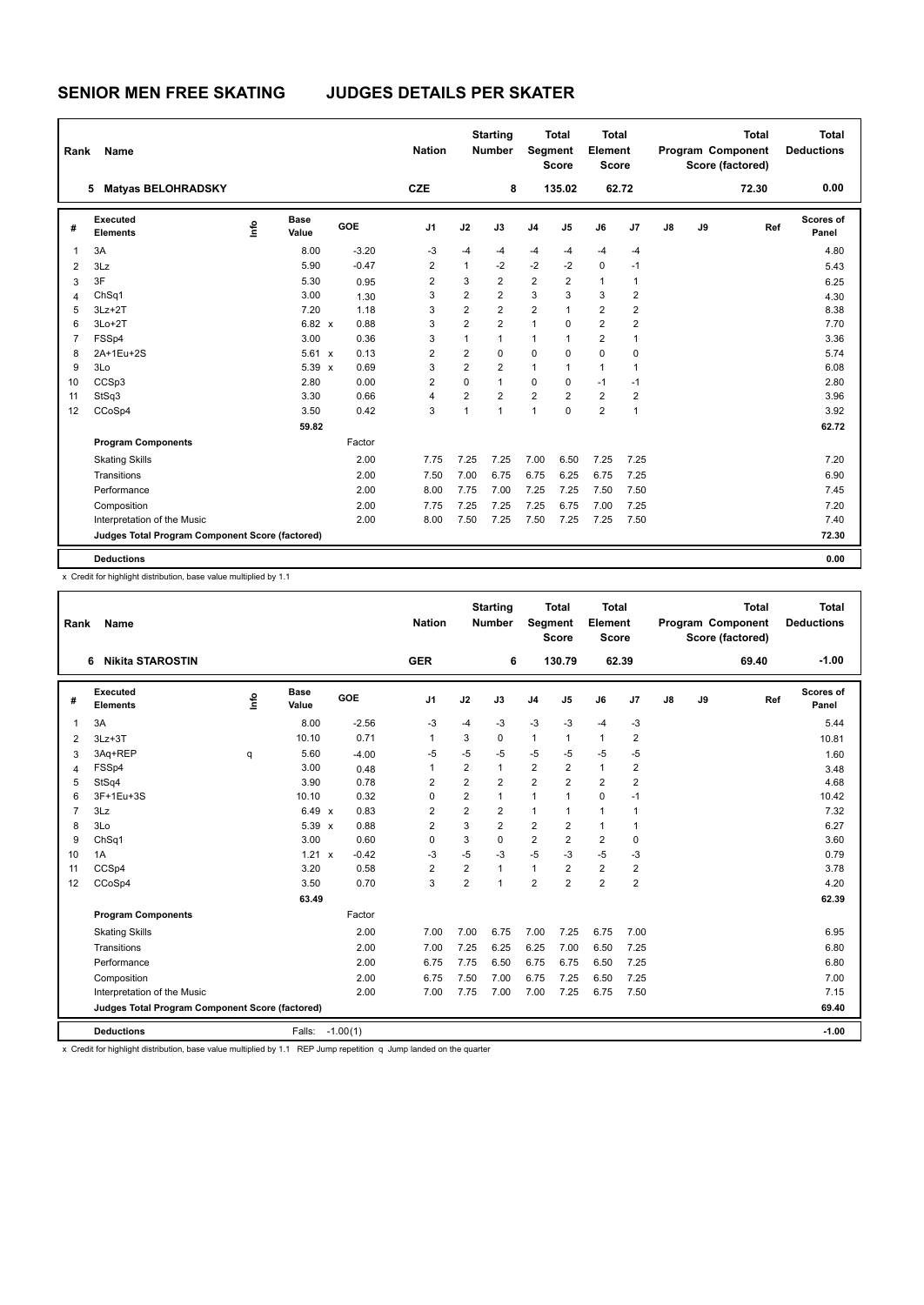| Rank           | Name                                            |    |                      |         | <b>Nation</b>  |                | <b>Starting</b><br><b>Number</b> | Segment        | <b>Total</b><br><b>Score</b> | <b>Total</b><br>Element<br><b>Score</b> |                |    |    | <b>Total</b><br>Program Component<br>Score (factored) | <b>Total</b><br><b>Deductions</b> |
|----------------|-------------------------------------------------|----|----------------------|---------|----------------|----------------|----------------------------------|----------------|------------------------------|-----------------------------------------|----------------|----|----|-------------------------------------------------------|-----------------------------------|
|                | <b>Matyas BELOHRADSKY</b><br>5                  |    |                      |         | <b>CZE</b>     |                | 8                                |                | 135.02                       |                                         | 62.72          |    |    | 72.30                                                 | 0.00                              |
| #              | Executed<br><b>Elements</b>                     | ١π | <b>Base</b><br>Value | GOE     | J <sub>1</sub> | J2             | J3                               | J <sub>4</sub> | J <sub>5</sub>               | J6                                      | J7             | J8 | J9 | Ref                                                   | Scores of<br>Panel                |
| $\mathbf{1}$   | 3A                                              |    | 8.00                 | $-3.20$ | $-3$           | $-4$           | -4                               | $-4$           | $-4$                         | $-4$                                    | $-4$           |    |    |                                                       | 4.80                              |
| $\overline{2}$ | 3Lz                                             |    | 5.90                 | $-0.47$ | 2              | $\mathbf{1}$   | $-2$                             | $-2$           | $-2$                         | $\mathbf 0$                             | $-1$           |    |    |                                                       | 5.43                              |
| 3              | 3F                                              |    | 5.30                 | 0.95    | $\overline{2}$ | 3              | $\overline{2}$                   | 2              | $\overline{2}$               | $\mathbf{1}$                            | 1              |    |    |                                                       | 6.25                              |
| $\overline{4}$ | ChSq1                                           |    | 3.00                 | 1.30    | 3              | $\overline{2}$ | $\overline{2}$                   | 3              | 3                            | 3                                       | 2              |    |    |                                                       | 4.30                              |
| 5              | $3Lz + 2T$                                      |    | 7.20                 | 1.18    | 3              | $\overline{2}$ | $\overline{2}$                   | $\overline{2}$ | 1                            | $\overline{2}$                          | $\overline{2}$ |    |    |                                                       | 8.38                              |
| 6              | $3Lo+2T$                                        |    | $6.82 \times$        | 0.88    | 3              | $\overline{2}$ | $\overline{2}$                   | $\mathbf{1}$   | 0                            | $\overline{2}$                          | 2              |    |    |                                                       | 7.70                              |
| $\overline{7}$ | FSSp4                                           |    | 3.00                 | 0.36    | 3              | $\mathbf{1}$   | 1                                | $\mathbf{1}$   | 1                            | $\overline{2}$                          | $\overline{1}$ |    |    |                                                       | 3.36                              |
| 8              | 2A+1Eu+2S                                       |    | $5.61 \times$        | 0.13    | $\overline{2}$ | $\overline{2}$ | $\mathbf 0$                      | $\mathbf 0$    | 0                            | $\mathbf 0$                             | 0              |    |    |                                                       | 5.74                              |
| 9              | 3Lo                                             |    | $5.39 \times$        | 0.69    | 3              | $\overline{2}$ | $\overline{2}$                   | $\mathbf{1}$   | 1                            | $\overline{1}$                          | 1              |    |    |                                                       | 6.08                              |
| 10             | CCSp3                                           |    | 2.80                 | 0.00    | $\overline{2}$ | $\mathbf 0$    | $\mathbf{1}$                     | $\mathbf 0$    | 0                            | $-1$                                    | $-1$           |    |    |                                                       | 2.80                              |
| 11             | StSq3                                           |    | 3.30                 | 0.66    | 4              | 2              | $\overline{2}$                   | $\overline{2}$ | $\overline{2}$               | $\overline{2}$                          | 2              |    |    |                                                       | 3.96                              |
| 12             | CCoSp4                                          |    | 3.50                 | 0.42    | 3              | $\mathbf{1}$   | $\overline{1}$                   | $\mathbf{1}$   | $\overline{0}$               | $\overline{2}$                          | 1              |    |    |                                                       | 3.92                              |
|                |                                                 |    | 59.82                |         |                |                |                                  |                |                              |                                         |                |    |    |                                                       | 62.72                             |
|                | <b>Program Components</b>                       |    |                      | Factor  |                |                |                                  |                |                              |                                         |                |    |    |                                                       |                                   |
|                | <b>Skating Skills</b>                           |    |                      | 2.00    | 7.75           | 7.25           | 7.25                             | 7.00           | 6.50                         | 7.25                                    | 7.25           |    |    |                                                       | 7.20                              |
|                | Transitions                                     |    |                      | 2.00    | 7.50           | 7.00           | 6.75                             | 6.75           | 6.25                         | 6.75                                    | 7.25           |    |    |                                                       | 6.90                              |
|                | Performance                                     |    |                      | 2.00    | 8.00           | 7.75           | 7.00                             | 7.25           | 7.25                         | 7.50                                    | 7.50           |    |    |                                                       | 7.45                              |
|                | Composition                                     |    |                      | 2.00    | 7.75           | 7.25           | 7.25                             | 7.25           | 6.75                         | 7.00                                    | 7.25           |    |    |                                                       | 7.20                              |
|                | Interpretation of the Music                     |    |                      | 2.00    | 8.00           | 7.50           | 7.25                             | 7.50           | 7.25                         | 7.25                                    | 7.50           |    |    |                                                       | 7.40                              |
|                | Judges Total Program Component Score (factored) |    |                      |         |                |                |                                  |                |                              |                                         |                |    |    |                                                       | 72.30                             |
|                | <b>Deductions</b>                               |    |                      |         |                |                |                                  |                |                              |                                         |                |    |    |                                                       | 0.00                              |

x Credit for highlight distribution, base value multiplied by 1.1

| Rank           | Name                                            |      |                      |            | <b>Nation</b>  |                | <b>Starting</b><br><b>Number</b> | Segment        | <b>Total</b><br><b>Score</b> | <b>Total</b><br>Element<br><b>Score</b> |                |               |    | <b>Total</b><br>Program Component<br>Score (factored) | <b>Total</b><br><b>Deductions</b> |
|----------------|-------------------------------------------------|------|----------------------|------------|----------------|----------------|----------------------------------|----------------|------------------------------|-----------------------------------------|----------------|---------------|----|-------------------------------------------------------|-----------------------------------|
|                | <b>Nikita STAROSTIN</b><br>6                    |      |                      |            | <b>GER</b>     |                | 6                                |                | 130.79                       |                                         | 62.39          |               |    | 69.40                                                 | $-1.00$                           |
| #              | <b>Executed</b><br><b>Elements</b>              | ١nf٥ | <b>Base</b><br>Value | GOE        | J1             | J2             | J3                               | J <sub>4</sub> | J5                           | J6                                      | J7             | $\mathsf{J}8$ | J9 | Ref                                                   | Scores of<br>Panel                |
| $\mathbf{1}$   | 3A                                              |      | 8.00                 | $-2.56$    | $-3$           | $-4$           | $-3$                             | $-3$           | $-3$                         | $-4$                                    | $-3$           |               |    |                                                       | 5.44                              |
| 2              | $3Lz + 3T$                                      |      | 10.10                | 0.71       | 1              | 3              | 0                                | $\mathbf{1}$   | $\mathbf{1}$                 | $\mathbf{1}$                            | $\overline{2}$ |               |    |                                                       | 10.81                             |
| 3              | 3Aq+REP                                         | q    | 5.60                 | $-4.00$    | $-5$           | $-5$           | $-5$                             | $-5$           | $-5$                         | $-5$                                    | $-5$           |               |    |                                                       | 1.60                              |
| 4              | FSSp4                                           |      | 3.00                 | 0.48       | 1              | $\overline{2}$ | $\mathbf{1}$                     | $\overline{2}$ | $\overline{2}$               | $\mathbf{1}$                            | $\overline{2}$ |               |    |                                                       | 3.48                              |
| 5              | StSq4                                           |      | 3.90                 | 0.78       | 2              | $\overline{2}$ | $\overline{2}$                   | $\overline{2}$ | $\overline{2}$               | $\overline{2}$                          | $\overline{2}$ |               |    |                                                       | 4.68                              |
| 6              | 3F+1Eu+3S                                       |      | 10.10                | 0.32       | $\Omega$       | $\overline{2}$ | 1                                | $\mathbf{1}$   | $\mathbf{1}$                 | $\mathbf 0$                             | $-1$           |               |    |                                                       | 10.42                             |
| $\overline{7}$ | 3Lz                                             |      | 6.49 x               | 0.83       | $\overline{2}$ | $\overline{2}$ | 2                                | $\mathbf{1}$   | $\mathbf{1}$                 | $\mathbf{1}$                            | 1              |               |    |                                                       | 7.32                              |
| 8              | 3Lo                                             |      | 5.39 x               | 0.88       | $\overline{2}$ | 3              | $\overline{2}$                   | $\overline{2}$ | $\overline{2}$               | $\mathbf{1}$                            | $\mathbf{1}$   |               |    |                                                       | 6.27                              |
| 9              | Ch <sub>Sq1</sub>                               |      | 3.00                 | 0.60       | $\Omega$       | 3              | $\Omega$                         | $\overline{2}$ | $\overline{2}$               | $\overline{2}$                          | 0              |               |    |                                                       | 3.60                              |
| 10             | 1A                                              |      | $1.21 \times$        | $-0.42$    | $-3$           | $-5$           | $-3$                             | $-5$           | $-3$                         | $-5$                                    | $-3$           |               |    |                                                       | 0.79                              |
| 11             | CCS <sub>p4</sub>                               |      | 3.20                 | 0.58       | $\overline{2}$ | 2              | 1                                | $\mathbf{1}$   | $\overline{2}$               | $\overline{2}$                          | $\overline{2}$ |               |    |                                                       | 3.78                              |
| 12             | CCoSp4                                          |      | 3.50                 | 0.70       | 3              | $\overline{2}$ | 1                                | $\overline{2}$ | $\overline{2}$               | $\overline{2}$                          | $\overline{2}$ |               |    |                                                       | 4.20                              |
|                |                                                 |      | 63.49                |            |                |                |                                  |                |                              |                                         |                |               |    |                                                       | 62.39                             |
|                | <b>Program Components</b>                       |      |                      | Factor     |                |                |                                  |                |                              |                                         |                |               |    |                                                       |                                   |
|                | <b>Skating Skills</b>                           |      |                      | 2.00       | 7.00           | 7.00           | 6.75                             | 7.00           | 7.25                         | 6.75                                    | 7.00           |               |    |                                                       | 6.95                              |
|                | Transitions                                     |      |                      | 2.00       | 7.00           | 7.25           | 6.25                             | 6.25           | 7.00                         | 6.50                                    | 7.25           |               |    |                                                       | 6.80                              |
|                | Performance                                     |      |                      | 2.00       | 6.75           | 7.75           | 6.50                             | 6.75           | 6.75                         | 6.50                                    | 7.25           |               |    |                                                       | 6.80                              |
|                | Composition                                     |      |                      | 2.00       | 6.75           | 7.50           | 7.00                             | 6.75           | 7.25                         | 6.50                                    | 7.25           |               |    |                                                       | 7.00                              |
|                | Interpretation of the Music                     |      |                      | 2.00       | 7.00           | 7.75           | 7.00                             | 7.00           | 7.25                         | 6.75                                    | 7.50           |               |    |                                                       | 7.15                              |
|                | Judges Total Program Component Score (factored) |      |                      |            |                |                |                                  |                |                              |                                         |                |               |    |                                                       | 69.40                             |
|                | <b>Deductions</b>                               |      | Falls:               | $-1.00(1)$ |                |                |                                  |                |                              |                                         |                |               |    |                                                       | $-1.00$                           |

x Credit for highlight distribution, base value multiplied by 1.1 REP Jump repetition q Jump landed on the quarter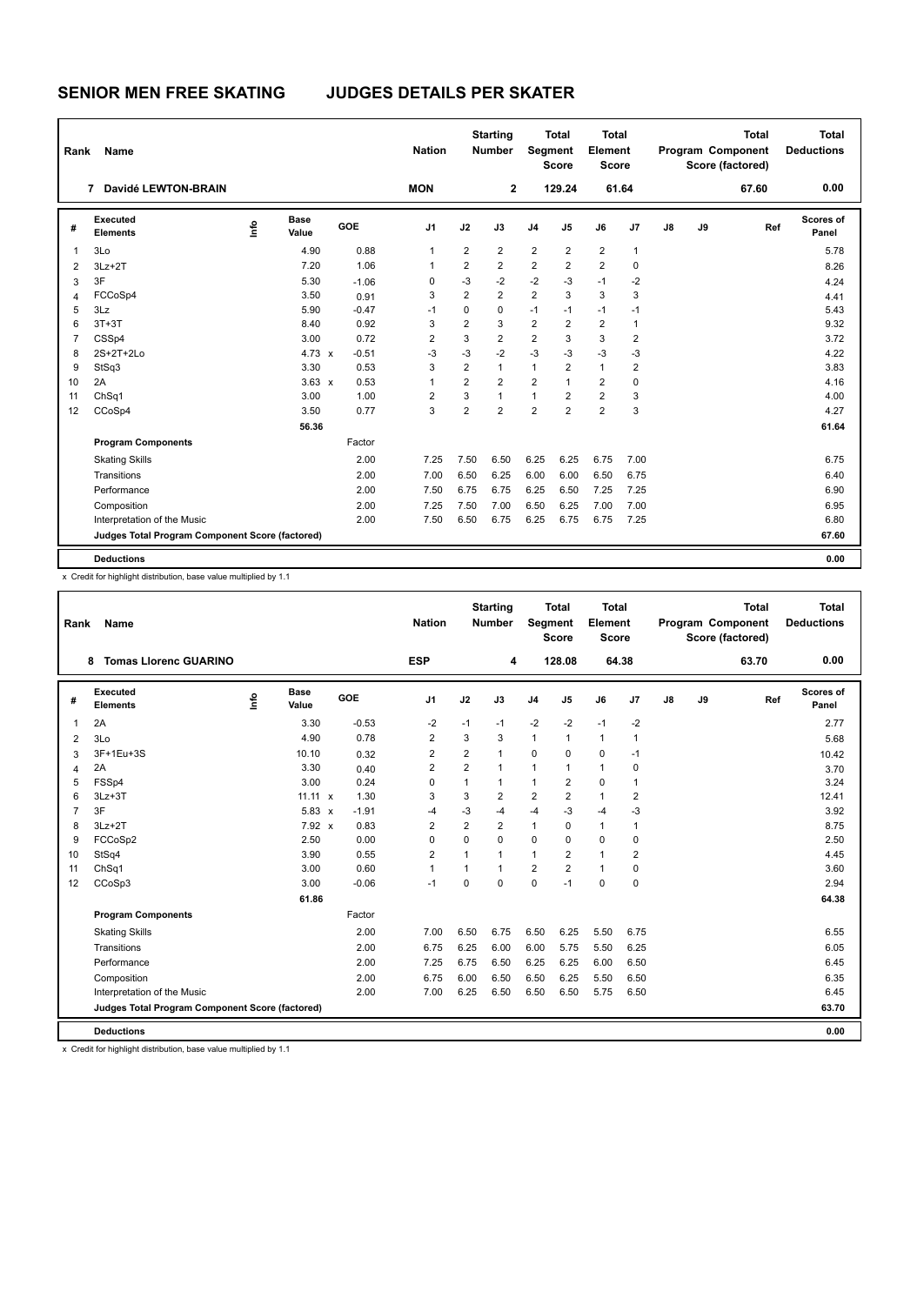| Rank           | Name                                            |    |               |         | <b>Nation</b>  |                | <b>Starting</b><br><b>Number</b> | Segment        | <b>Total</b><br><b>Score</b> | <b>Total</b><br>Element<br><b>Score</b> |                |    |    | <b>Total</b><br>Program Component<br>Score (factored) | <b>Total</b><br><b>Deductions</b> |
|----------------|-------------------------------------------------|----|---------------|---------|----------------|----------------|----------------------------------|----------------|------------------------------|-----------------------------------------|----------------|----|----|-------------------------------------------------------|-----------------------------------|
|                | Davidé LEWTON-BRAIN<br>7                        |    |               |         | <b>MON</b>     |                | $\overline{2}$                   |                | 129.24                       |                                         | 61.64          |    |    | 67.60                                                 | 0.00                              |
| #              | Executed<br><b>Elements</b>                     | ١π | Base<br>Value | GOE     | J <sub>1</sub> | J2             | J3                               | J <sub>4</sub> | J <sub>5</sub>               | J6                                      | J7             | J8 | J9 | Ref                                                   | Scores of<br>Panel                |
| $\overline{1}$ | 3Lo                                             |    | 4.90          | 0.88    | 1              | $\overline{2}$ | $\overline{2}$                   | $\overline{2}$ | $\overline{2}$               | $\overline{2}$                          | $\mathbf{1}$   |    |    |                                                       | 5.78                              |
| $\overline{2}$ | $3Lz + 2T$                                      |    | 7.20          | 1.06    | $\mathbf{1}$   | $\overline{2}$ | $\overline{2}$                   | $\overline{2}$ | $\overline{2}$               | $\overline{2}$                          | $\mathbf 0$    |    |    |                                                       | 8.26                              |
| 3              | 3F                                              |    | 5.30          | $-1.06$ | 0              | $-3$           | $-2$                             | $-2$           | $-3$                         | $-1$                                    | $-2$           |    |    |                                                       | 4.24                              |
| $\overline{4}$ | FCCoSp4                                         |    | 3.50          | 0.91    | 3              | $\overline{2}$ | $\overline{2}$                   | $\overline{2}$ | 3                            | 3                                       | 3              |    |    |                                                       | 4.41                              |
| 5              | 3Lz                                             |    | 5.90          | $-0.47$ | $-1$           | 0              | $\mathbf 0$                      | $-1$           | $-1$                         | $-1$                                    | $-1$           |    |    |                                                       | 5.43                              |
| 6              | $3T+3T$                                         |    | 8.40          | 0.92    | 3              | $\overline{2}$ | 3                                | $\overline{2}$ | $\overline{2}$               | $\overline{2}$                          | 1              |    |    |                                                       | 9.32                              |
| $\overline{7}$ | CSSp4                                           |    | 3.00          | 0.72    | 2              | 3              | $\overline{2}$                   | $\overline{2}$ | 3                            | 3                                       | $\overline{2}$ |    |    |                                                       | 3.72                              |
| 8              | 2S+2T+2Lo                                       |    | 4.73 $\times$ | $-0.51$ | $-3$           | $-3$           | $-2$                             | $-3$           | $-3$                         | $-3$                                    | $-3$           |    |    |                                                       | 4.22                              |
| 9              | StSq3                                           |    | 3.30          | 0.53    | 3              | $\overline{2}$ | $\mathbf{1}$                     | $\mathbf{1}$   | $\overline{2}$               | $\mathbf{1}$                            | 2              |    |    |                                                       | 3.83                              |
| 10             | 2A                                              |    | $3.63 \times$ | 0.53    | 1              | $\overline{2}$ | $\overline{2}$                   | $\overline{2}$ | $\mathbf{1}$                 | $\overline{2}$                          | 0              |    |    |                                                       | 4.16                              |
| 11             | ChSq1                                           |    | 3.00          | 1.00    | 2              | 3              | $\mathbf{1}$                     | 1              | 2                            | $\overline{2}$                          | 3              |    |    |                                                       | 4.00                              |
| 12             | CCoSp4                                          |    | 3.50          | 0.77    | 3              | $\overline{2}$ | $\overline{2}$                   | $\overline{2}$ | $\overline{2}$               | $\overline{2}$                          | 3              |    |    |                                                       | 4.27                              |
|                |                                                 |    | 56.36         |         |                |                |                                  |                |                              |                                         |                |    |    |                                                       | 61.64                             |
|                | <b>Program Components</b>                       |    |               | Factor  |                |                |                                  |                |                              |                                         |                |    |    |                                                       |                                   |
|                | <b>Skating Skills</b>                           |    |               | 2.00    | 7.25           | 7.50           | 6.50                             | 6.25           | 6.25                         | 6.75                                    | 7.00           |    |    |                                                       | 6.75                              |
|                | Transitions                                     |    |               | 2.00    | 7.00           | 6.50           | 6.25                             | 6.00           | 6.00                         | 6.50                                    | 6.75           |    |    |                                                       | 6.40                              |
|                | Performance                                     |    |               | 2.00    | 7.50           | 6.75           | 6.75                             | 6.25           | 6.50                         | 7.25                                    | 7.25           |    |    |                                                       | 6.90                              |
|                | Composition                                     |    |               | 2.00    | 7.25           | 7.50           | 7.00                             | 6.50           | 6.25                         | 7.00                                    | 7.00           |    |    |                                                       | 6.95                              |
|                | Interpretation of the Music                     |    |               | 2.00    | 7.50           | 6.50           | 6.75                             | 6.25           | 6.75                         | 6.75                                    | 7.25           |    |    |                                                       | 6.80                              |
|                | Judges Total Program Component Score (factored) |    |               |         |                |                |                                  |                |                              |                                         |                |    |    |                                                       | 67.60                             |
|                | <b>Deductions</b>                               |    |               |         |                |                |                                  |                |                              |                                         |                |    |    |                                                       | 0.00                              |

x Credit for highlight distribution, base value multiplied by 1.1

| Rank           | <b>Name</b>                                     |    |                |         | <b>Nation</b>  |                | <b>Starting</b><br><b>Number</b> | Segment        | <b>Total</b><br><b>Score</b> | <b>Total</b><br>Element<br><b>Score</b> |                |    |    | <b>Total</b><br>Program Component<br>Score (factored) | <b>Total</b><br><b>Deductions</b> |
|----------------|-------------------------------------------------|----|----------------|---------|----------------|----------------|----------------------------------|----------------|------------------------------|-----------------------------------------|----------------|----|----|-------------------------------------------------------|-----------------------------------|
|                | <b>Tomas Liorenc GUARINO</b><br>8               |    |                |         | <b>ESP</b>     |                | 4                                |                | 128.08                       |                                         | 64.38          |    |    | 63.70                                                 | 0.00                              |
| #              | Executed<br><b>Elements</b>                     | ۴ů | Base<br>Value  | GOE     | J <sub>1</sub> | J2             | J3                               | J <sub>4</sub> | J <sub>5</sub>               | J6                                      | J <sub>7</sub> | J8 | J9 | Ref                                                   | <b>Scores of</b><br>Panel         |
| 1              | 2A                                              |    | 3.30           | $-0.53$ | $-2$           | $-1$           | $-1$                             | $-2$           | $-2$                         | $-1$                                    | $-2$           |    |    |                                                       | 2.77                              |
| 2              | 3Lo                                             |    | 4.90           | 0.78    | $\overline{2}$ | 3              | 3                                | $\mathbf{1}$   | $\overline{1}$               | $\mathbf{1}$                            | $\mathbf{1}$   |    |    |                                                       | 5.68                              |
| 3              | 3F+1Eu+3S                                       |    | 10.10          | 0.32    | $\overline{2}$ | $\overline{2}$ | 1                                | $\mathbf 0$    | $\Omega$                     | $\mathbf 0$                             | $-1$           |    |    |                                                       | 10.42                             |
| 4              | 2A                                              |    | 3.30           | 0.40    | $\overline{2}$ | $\overline{2}$ | 1                                | $\mathbf{1}$   | $\overline{1}$               | $\mathbf{1}$                            | 0              |    |    |                                                       | 3.70                              |
| 5              | FSSp4                                           |    | 3.00           | 0.24    | $\Omega$       | $\mathbf{1}$   | 1                                | 1              | $\overline{2}$               | $\mathbf 0$                             | $\mathbf{1}$   |    |    |                                                       | 3.24                              |
| 6              | $3Lz + 3T$                                      |    | $11.11 \times$ | 1.30    | 3              | 3              | $\overline{2}$                   | $\overline{2}$ | $\overline{2}$               | $\mathbf{1}$                            | $\overline{2}$ |    |    |                                                       | 12.41                             |
| $\overline{7}$ | 3F                                              |    | $5.83 \times$  | $-1.91$ | $-4$           | $-3$           | -4                               | $-4$           | $-3$                         | $-4$                                    | $-3$           |    |    |                                                       | 3.92                              |
| 8              | $3Lz + 2T$                                      |    | 7.92 x         | 0.83    | $\overline{2}$ | $\overline{2}$ | $\overline{2}$                   | 1              | $\Omega$                     | $\mathbf{1}$                            | $\mathbf{1}$   |    |    |                                                       | 8.75                              |
| 9              | FCCoSp2                                         |    | 2.50           | 0.00    | $\Omega$       | $\Omega$       | $\Omega$                         | $\Omega$       | $\Omega$                     | $\Omega$                                | $\Omega$       |    |    |                                                       | 2.50                              |
| 10             | StSq4                                           |    | 3.90           | 0.55    | $\overline{2}$ | $\mathbf{1}$   | 1                                | 1              | $\overline{2}$               | $\mathbf{1}$                            | $\overline{2}$ |    |    |                                                       | 4.45                              |
| 11             | ChSq1                                           |    | 3.00           | 0.60    | 1              | $\mathbf{1}$   | 1                                | $\overline{2}$ | $\overline{2}$               | $\mathbf{1}$                            | 0              |    |    |                                                       | 3.60                              |
| 12             | CCoSp3                                          |    | 3.00           | $-0.06$ | $-1$           | $\Omega$       | $\Omega$                         | $\Omega$       | $-1$                         | $\Omega$                                | $\Omega$       |    |    |                                                       | 2.94                              |
|                |                                                 |    | 61.86          |         |                |                |                                  |                |                              |                                         |                |    |    |                                                       | 64.38                             |
|                | <b>Program Components</b>                       |    |                | Factor  |                |                |                                  |                |                              |                                         |                |    |    |                                                       |                                   |
|                | <b>Skating Skills</b>                           |    |                | 2.00    | 7.00           | 6.50           | 6.75                             | 6.50           | 6.25                         | 5.50                                    | 6.75           |    |    |                                                       | 6.55                              |
|                | Transitions                                     |    |                | 2.00    | 6.75           | 6.25           | 6.00                             | 6.00           | 5.75                         | 5.50                                    | 6.25           |    |    |                                                       | 6.05                              |
|                | Performance                                     |    |                | 2.00    | 7.25           | 6.75           | 6.50                             | 6.25           | 6.25                         | 6.00                                    | 6.50           |    |    |                                                       | 6.45                              |
|                | Composition                                     |    |                | 2.00    | 6.75           | 6.00           | 6.50                             | 6.50           | 6.25                         | 5.50                                    | 6.50           |    |    |                                                       | 6.35                              |
|                | Interpretation of the Music                     |    |                | 2.00    | 7.00           | 6.25           | 6.50                             | 6.50           | 6.50                         | 5.75                                    | 6.50           |    |    |                                                       | 6.45                              |
|                | Judges Total Program Component Score (factored) |    |                |         |                |                |                                  |                |                              |                                         |                |    |    |                                                       | 63.70                             |
|                | <b>Deductions</b>                               |    |                |         |                |                |                                  |                |                              |                                         |                |    |    |                                                       | 0.00                              |

x Credit for highlight distribution, base value multiplied by 1.1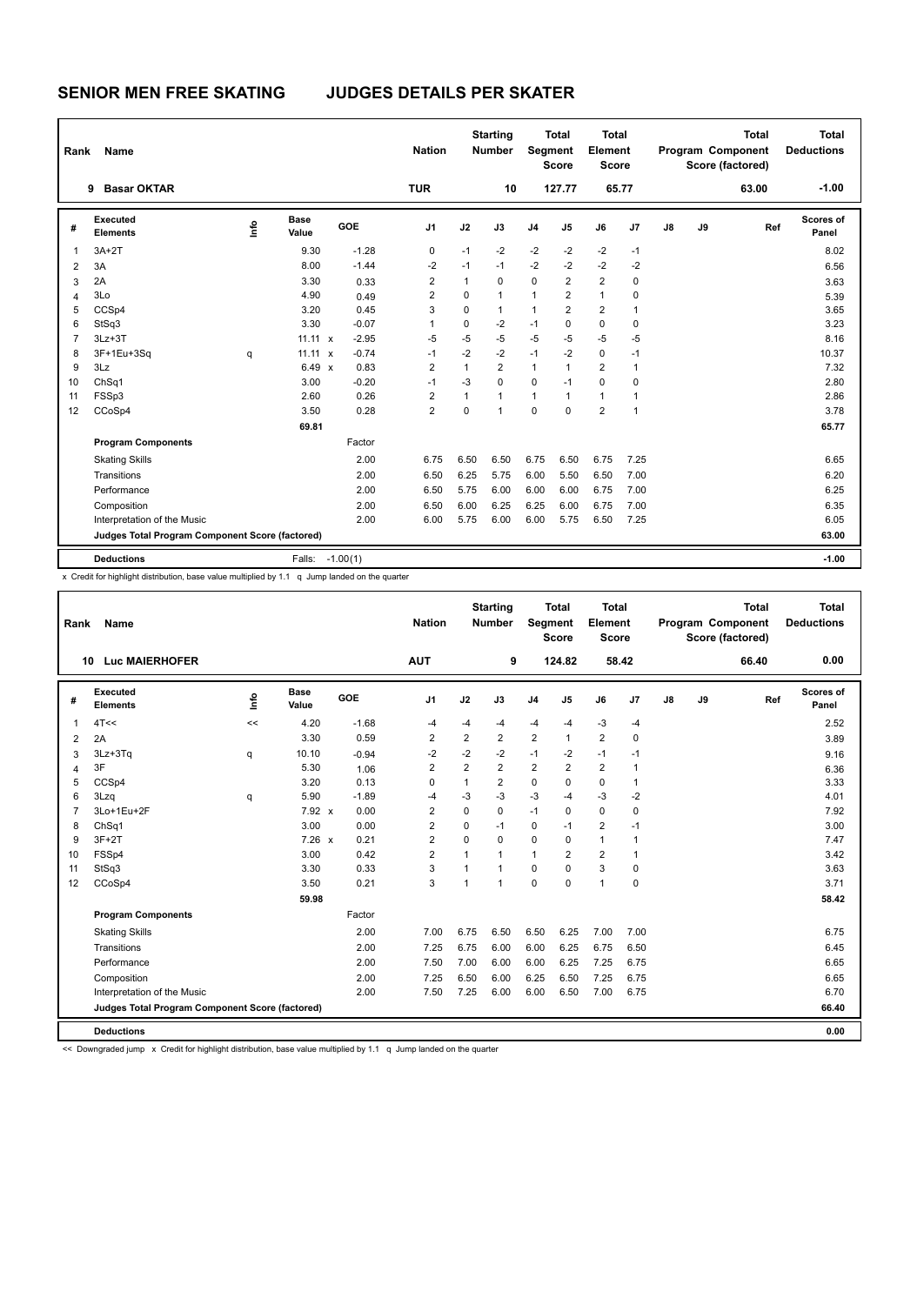| $-1.00$<br><b>Basar OKTAR</b><br><b>TUR</b><br>10<br>127.77<br>65.77<br>63.00<br>9<br><b>Scores of</b><br><b>Executed</b><br><b>Base</b><br>١f٥<br>GOE<br>J2<br>$\mathsf{J}5$<br>J9<br>J1<br>J3<br>J <sub>4</sub><br>J6<br>J7<br>$\mathsf{J}8$<br>Ref<br>#<br><b>Elements</b><br>Value<br>Panel<br>$-1.28$<br>$-2$<br>$3A+2T$<br>9.30<br>0<br>$-1$<br>$-2$<br>$-2$<br>-2<br>$-1$<br>8.02<br>1<br>$-2$<br>$-2$<br>$-1.44$<br>$-2$<br>$-2$<br>8.00<br>$-2$<br>$-1$<br>$-1$<br>$\overline{2}$<br>3A<br>6.56<br>$\overline{2}$<br>2A<br>2<br>$\mathbf 0$<br>$\overline{2}$<br>3.30<br>$\mathbf{1}$<br>$\Omega$<br>0<br>0.33<br>3<br>3.63<br>$\overline{2}$<br>$\mathbf{1}$<br>3Lo<br>2<br>$\Omega$<br>$\mathbf{1}$<br>$\mathbf{1}$<br>4.90<br>0<br>0.49<br>5.39<br>4<br>$\Omega$<br>$\overline{2}$<br>$\overline{2}$<br>CCSp4<br>0.45<br>3<br>$\mathbf{1}$<br>$\mathbf{1}$<br>3.65<br>5<br>3.20<br>1<br>StSq3<br>3.30<br>$-0.07$<br>0<br>$-2$<br>$-1$<br>0<br>$\mathbf 0$<br>$\mathbf 0$<br>3.23<br>6<br>1<br>$-5$<br>$-5$<br>$-5$<br>$-5$<br>$-5$<br>$-5$<br>$\overline{7}$<br>$-2.95$<br>$-5$<br>8.16<br>$3Lz + 3T$<br>$11.11 \times$<br>$11.11 \times$<br>$-0.74$<br>$-2$<br>$-2$<br>$-1$<br>$-2$<br>10.37<br>8<br>3F+1Eu+3Sq<br>$-1$<br>0<br>$-1$<br>q<br>$\overline{2}$<br>3Lz<br>6.49 $\times$<br>0.83<br>$\overline{2}$<br>$\mathbf{1}$<br>$\overline{2}$<br>7.32<br>9<br>$\mathbf{1}$<br>1<br>$\mathbf{1}$<br>$-3$<br>ChSq1<br>3.00<br>$-0.20$<br>$\Omega$<br>$\Omega$<br>$-1$<br>$\Omega$<br>$\Omega$<br>2.80<br>$-1$<br>10<br>FSSp3<br>0.26<br>$\overline{2}$<br>2.86<br>2.60<br>$\mathbf{1}$<br>$\overline{1}$<br>$\mathbf{1}$<br>$\mathbf{1}$<br>1<br>11<br>1<br>$\Omega$<br>0.28<br>$\overline{2}$<br>$\Omega$<br>$\Omega$<br>$\overline{2}$<br>CCoSp4<br>3.50<br>3.78<br>12<br>$\overline{1}$<br>$\mathbf{1}$<br>69.81<br>65.77<br><b>Program Components</b><br>Factor<br>2.00<br>6.75<br>6.75<br>7.25<br>6.75<br>6.50<br>6.50<br>6.50<br>6.65<br><b>Skating Skills</b><br>2.00<br>5.75<br>6.00<br>6.50<br>6.20<br>Transitions<br>6.50<br>6.25<br>5.50<br>7.00<br>Performance<br>2.00<br>6.50<br>5.75<br>6.00<br>6.00<br>6.00<br>6.75<br>7.00<br>6.25<br>2.00<br>6.35<br>Composition<br>6.50<br>6.00<br>6.25<br>6.25<br>6.00<br>6.75<br>7.00<br>6.05<br>Interpretation of the Music<br>2.00<br>6.00<br>5.75<br>6.00<br>6.00<br>5.75<br>6.50<br>7.25<br>Judges Total Program Component Score (factored)<br>63.00<br>$-1.00$<br><b>Deductions</b><br>Falls:<br>$-1.00(1)$ | Rank | Name |  | <b>Nation</b> | <b>Starting</b><br><b>Number</b> | Segment | <b>Total</b><br><b>Score</b> | Total<br>Element<br><b>Score</b> |  | <b>Total</b><br>Program Component<br>Score (factored) | Total<br><b>Deductions</b> |
|-----------------------------------------------------------------------------------------------------------------------------------------------------------------------------------------------------------------------------------------------------------------------------------------------------------------------------------------------------------------------------------------------------------------------------------------------------------------------------------------------------------------------------------------------------------------------------------------------------------------------------------------------------------------------------------------------------------------------------------------------------------------------------------------------------------------------------------------------------------------------------------------------------------------------------------------------------------------------------------------------------------------------------------------------------------------------------------------------------------------------------------------------------------------------------------------------------------------------------------------------------------------------------------------------------------------------------------------------------------------------------------------------------------------------------------------------------------------------------------------------------------------------------------------------------------------------------------------------------------------------------------------------------------------------------------------------------------------------------------------------------------------------------------------------------------------------------------------------------------------------------------------------------------------------------------------------------------------------------------------------------------------------------------------------------------------------------------------------------------------------------------------------------------------------------------------------------------------------------------------------------------------------------------------------------------------------------------------------------------------------------------------------------------------------------------------------------------------------------------|------|------|--|---------------|----------------------------------|---------|------------------------------|----------------------------------|--|-------------------------------------------------------|----------------------------|
|                                                                                                                                                                                                                                                                                                                                                                                                                                                                                                                                                                                                                                                                                                                                                                                                                                                                                                                                                                                                                                                                                                                                                                                                                                                                                                                                                                                                                                                                                                                                                                                                                                                                                                                                                                                                                                                                                                                                                                                                                                                                                                                                                                                                                                                                                                                                                                                                                                                                                   |      |      |  |               |                                  |         |                              |                                  |  |                                                       |                            |
|                                                                                                                                                                                                                                                                                                                                                                                                                                                                                                                                                                                                                                                                                                                                                                                                                                                                                                                                                                                                                                                                                                                                                                                                                                                                                                                                                                                                                                                                                                                                                                                                                                                                                                                                                                                                                                                                                                                                                                                                                                                                                                                                                                                                                                                                                                                                                                                                                                                                                   |      |      |  |               |                                  |         |                              |                                  |  |                                                       |                            |
|                                                                                                                                                                                                                                                                                                                                                                                                                                                                                                                                                                                                                                                                                                                                                                                                                                                                                                                                                                                                                                                                                                                                                                                                                                                                                                                                                                                                                                                                                                                                                                                                                                                                                                                                                                                                                                                                                                                                                                                                                                                                                                                                                                                                                                                                                                                                                                                                                                                                                   |      |      |  |               |                                  |         |                              |                                  |  |                                                       |                            |
|                                                                                                                                                                                                                                                                                                                                                                                                                                                                                                                                                                                                                                                                                                                                                                                                                                                                                                                                                                                                                                                                                                                                                                                                                                                                                                                                                                                                                                                                                                                                                                                                                                                                                                                                                                                                                                                                                                                                                                                                                                                                                                                                                                                                                                                                                                                                                                                                                                                                                   |      |      |  |               |                                  |         |                              |                                  |  |                                                       |                            |
|                                                                                                                                                                                                                                                                                                                                                                                                                                                                                                                                                                                                                                                                                                                                                                                                                                                                                                                                                                                                                                                                                                                                                                                                                                                                                                                                                                                                                                                                                                                                                                                                                                                                                                                                                                                                                                                                                                                                                                                                                                                                                                                                                                                                                                                                                                                                                                                                                                                                                   |      |      |  |               |                                  |         |                              |                                  |  |                                                       |                            |
|                                                                                                                                                                                                                                                                                                                                                                                                                                                                                                                                                                                                                                                                                                                                                                                                                                                                                                                                                                                                                                                                                                                                                                                                                                                                                                                                                                                                                                                                                                                                                                                                                                                                                                                                                                                                                                                                                                                                                                                                                                                                                                                                                                                                                                                                                                                                                                                                                                                                                   |      |      |  |               |                                  |         |                              |                                  |  |                                                       |                            |
|                                                                                                                                                                                                                                                                                                                                                                                                                                                                                                                                                                                                                                                                                                                                                                                                                                                                                                                                                                                                                                                                                                                                                                                                                                                                                                                                                                                                                                                                                                                                                                                                                                                                                                                                                                                                                                                                                                                                                                                                                                                                                                                                                                                                                                                                                                                                                                                                                                                                                   |      |      |  |               |                                  |         |                              |                                  |  |                                                       |                            |
|                                                                                                                                                                                                                                                                                                                                                                                                                                                                                                                                                                                                                                                                                                                                                                                                                                                                                                                                                                                                                                                                                                                                                                                                                                                                                                                                                                                                                                                                                                                                                                                                                                                                                                                                                                                                                                                                                                                                                                                                                                                                                                                                                                                                                                                                                                                                                                                                                                                                                   |      |      |  |               |                                  |         |                              |                                  |  |                                                       |                            |
|                                                                                                                                                                                                                                                                                                                                                                                                                                                                                                                                                                                                                                                                                                                                                                                                                                                                                                                                                                                                                                                                                                                                                                                                                                                                                                                                                                                                                                                                                                                                                                                                                                                                                                                                                                                                                                                                                                                                                                                                                                                                                                                                                                                                                                                                                                                                                                                                                                                                                   |      |      |  |               |                                  |         |                              |                                  |  |                                                       |                            |
|                                                                                                                                                                                                                                                                                                                                                                                                                                                                                                                                                                                                                                                                                                                                                                                                                                                                                                                                                                                                                                                                                                                                                                                                                                                                                                                                                                                                                                                                                                                                                                                                                                                                                                                                                                                                                                                                                                                                                                                                                                                                                                                                                                                                                                                                                                                                                                                                                                                                                   |      |      |  |               |                                  |         |                              |                                  |  |                                                       |                            |
|                                                                                                                                                                                                                                                                                                                                                                                                                                                                                                                                                                                                                                                                                                                                                                                                                                                                                                                                                                                                                                                                                                                                                                                                                                                                                                                                                                                                                                                                                                                                                                                                                                                                                                                                                                                                                                                                                                                                                                                                                                                                                                                                                                                                                                                                                                                                                                                                                                                                                   |      |      |  |               |                                  |         |                              |                                  |  |                                                       |                            |
|                                                                                                                                                                                                                                                                                                                                                                                                                                                                                                                                                                                                                                                                                                                                                                                                                                                                                                                                                                                                                                                                                                                                                                                                                                                                                                                                                                                                                                                                                                                                                                                                                                                                                                                                                                                                                                                                                                                                                                                                                                                                                                                                                                                                                                                                                                                                                                                                                                                                                   |      |      |  |               |                                  |         |                              |                                  |  |                                                       |                            |
|                                                                                                                                                                                                                                                                                                                                                                                                                                                                                                                                                                                                                                                                                                                                                                                                                                                                                                                                                                                                                                                                                                                                                                                                                                                                                                                                                                                                                                                                                                                                                                                                                                                                                                                                                                                                                                                                                                                                                                                                                                                                                                                                                                                                                                                                                                                                                                                                                                                                                   |      |      |  |               |                                  |         |                              |                                  |  |                                                       |                            |
|                                                                                                                                                                                                                                                                                                                                                                                                                                                                                                                                                                                                                                                                                                                                                                                                                                                                                                                                                                                                                                                                                                                                                                                                                                                                                                                                                                                                                                                                                                                                                                                                                                                                                                                                                                                                                                                                                                                                                                                                                                                                                                                                                                                                                                                                                                                                                                                                                                                                                   |      |      |  |               |                                  |         |                              |                                  |  |                                                       |                            |
|                                                                                                                                                                                                                                                                                                                                                                                                                                                                                                                                                                                                                                                                                                                                                                                                                                                                                                                                                                                                                                                                                                                                                                                                                                                                                                                                                                                                                                                                                                                                                                                                                                                                                                                                                                                                                                                                                                                                                                                                                                                                                                                                                                                                                                                                                                                                                                                                                                                                                   |      |      |  |               |                                  |         |                              |                                  |  |                                                       |                            |
|                                                                                                                                                                                                                                                                                                                                                                                                                                                                                                                                                                                                                                                                                                                                                                                                                                                                                                                                                                                                                                                                                                                                                                                                                                                                                                                                                                                                                                                                                                                                                                                                                                                                                                                                                                                                                                                                                                                                                                                                                                                                                                                                                                                                                                                                                                                                                                                                                                                                                   |      |      |  |               |                                  |         |                              |                                  |  |                                                       |                            |
|                                                                                                                                                                                                                                                                                                                                                                                                                                                                                                                                                                                                                                                                                                                                                                                                                                                                                                                                                                                                                                                                                                                                                                                                                                                                                                                                                                                                                                                                                                                                                                                                                                                                                                                                                                                                                                                                                                                                                                                                                                                                                                                                                                                                                                                                                                                                                                                                                                                                                   |      |      |  |               |                                  |         |                              |                                  |  |                                                       |                            |
|                                                                                                                                                                                                                                                                                                                                                                                                                                                                                                                                                                                                                                                                                                                                                                                                                                                                                                                                                                                                                                                                                                                                                                                                                                                                                                                                                                                                                                                                                                                                                                                                                                                                                                                                                                                                                                                                                                                                                                                                                                                                                                                                                                                                                                                                                                                                                                                                                                                                                   |      |      |  |               |                                  |         |                              |                                  |  |                                                       |                            |
|                                                                                                                                                                                                                                                                                                                                                                                                                                                                                                                                                                                                                                                                                                                                                                                                                                                                                                                                                                                                                                                                                                                                                                                                                                                                                                                                                                                                                                                                                                                                                                                                                                                                                                                                                                                                                                                                                                                                                                                                                                                                                                                                                                                                                                                                                                                                                                                                                                                                                   |      |      |  |               |                                  |         |                              |                                  |  |                                                       |                            |
|                                                                                                                                                                                                                                                                                                                                                                                                                                                                                                                                                                                                                                                                                                                                                                                                                                                                                                                                                                                                                                                                                                                                                                                                                                                                                                                                                                                                                                                                                                                                                                                                                                                                                                                                                                                                                                                                                                                                                                                                                                                                                                                                                                                                                                                                                                                                                                                                                                                                                   |      |      |  |               |                                  |         |                              |                                  |  |                                                       |                            |
|                                                                                                                                                                                                                                                                                                                                                                                                                                                                                                                                                                                                                                                                                                                                                                                                                                                                                                                                                                                                                                                                                                                                                                                                                                                                                                                                                                                                                                                                                                                                                                                                                                                                                                                                                                                                                                                                                                                                                                                                                                                                                                                                                                                                                                                                                                                                                                                                                                                                                   |      |      |  |               |                                  |         |                              |                                  |  |                                                       |                            |
|                                                                                                                                                                                                                                                                                                                                                                                                                                                                                                                                                                                                                                                                                                                                                                                                                                                                                                                                                                                                                                                                                                                                                                                                                                                                                                                                                                                                                                                                                                                                                                                                                                                                                                                                                                                                                                                                                                                                                                                                                                                                                                                                                                                                                                                                                                                                                                                                                                                                                   |      |      |  |               |                                  |         |                              |                                  |  |                                                       |                            |
|                                                                                                                                                                                                                                                                                                                                                                                                                                                                                                                                                                                                                                                                                                                                                                                                                                                                                                                                                                                                                                                                                                                                                                                                                                                                                                                                                                                                                                                                                                                                                                                                                                                                                                                                                                                                                                                                                                                                                                                                                                                                                                                                                                                                                                                                                                                                                                                                                                                                                   |      |      |  |               |                                  |         |                              |                                  |  |                                                       |                            |

x Credit for highlight distribution, base value multiplied by 1.1 q Jump landed on the quarter

| Rank           | Name                                            |      |                      |         | <b>Nation</b>  |                | <b>Starting</b><br><b>Number</b> | Segment        | <b>Total</b><br><b>Score</b> | <b>Total</b><br>Element<br>Score |                |               |    | <b>Total</b><br>Program Component<br>Score (factored) | <b>Total</b><br><b>Deductions</b> |
|----------------|-------------------------------------------------|------|----------------------|---------|----------------|----------------|----------------------------------|----------------|------------------------------|----------------------------------|----------------|---------------|----|-------------------------------------------------------|-----------------------------------|
|                | <b>Luc MAIERHOFER</b><br>10                     |      |                      |         | <b>AUT</b>     |                | 9                                |                | 124.82                       |                                  | 58.42          |               |    | 66.40                                                 | 0.00                              |
| #              | <b>Executed</b><br><b>Elements</b>              | ١nf٥ | <b>Base</b><br>Value | GOE     | J <sub>1</sub> | J2             | J3                               | J <sub>4</sub> | J <sub>5</sub>               | J6                               | J <sub>7</sub> | $\mathsf{J}8$ | J9 | Ref                                                   | <b>Scores of</b><br>Panel         |
| $\overline{1}$ | 4T <                                            | <<   | 4.20                 | $-1.68$ | -4             | $-4$           | -4                               | $-4$           | $-4$                         | $-3$                             | $-4$           |               |    |                                                       | 2.52                              |
| $\overline{2}$ | 2A                                              |      | 3.30                 | 0.59    | $\overline{2}$ | $\overline{2}$ | $\overline{2}$                   | $\overline{2}$ | $\mathbf{1}$                 | $\overline{2}$                   | 0              |               |    |                                                       | 3.89                              |
| 3              | 3Lz+3Tq                                         | q    | 10.10                | $-0.94$ | $-2$           | $-2$           | $-2$                             | $-1$           | $-2$                         | $-1$                             | $-1$           |               |    |                                                       | 9.16                              |
| $\overline{4}$ | 3F                                              |      | 5.30                 | 1.06    | $\overline{2}$ | $\overline{2}$ | $\overline{2}$                   | $\overline{2}$ | $\overline{2}$               | $\overline{2}$                   | 1              |               |    |                                                       | 6.36                              |
| 5              | CCSp4                                           |      | 3.20                 | 0.13    | $\mathbf 0$    | $\mathbf{1}$   | $\overline{2}$                   | $\mathbf 0$    | $\mathbf 0$                  | $\mathbf 0$                      | 1              |               |    |                                                       | 3.33                              |
| 6              | 3Lzq                                            | q    | 5.90                 | $-1.89$ | -4             | $-3$           | $-3$                             | $-3$           | $-4$                         | $-3$                             | $-2$           |               |    |                                                       | 4.01                              |
| $\overline{7}$ | 3Lo+1Eu+2F                                      |      | $7.92 \times$        | 0.00    | $\overline{2}$ | $\Omega$       | $\mathbf 0$                      | $-1$           | $\Omega$                     | $\mathbf 0$                      | 0              |               |    |                                                       | 7.92                              |
| 8              | ChSq1                                           |      | 3.00                 | 0.00    | $\overline{2}$ | $\Omega$       | $-1$                             | $\mathbf 0$    | $-1$                         | $\overline{2}$                   | $-1$           |               |    |                                                       | 3.00                              |
| 9              | $3F+2T$                                         |      | $7.26 \times$        | 0.21    | $\overline{2}$ | $\Omega$       | $\Omega$                         | $\Omega$       | $\Omega$                     | $\mathbf{1}$                     | 1              |               |    |                                                       | 7.47                              |
| 10             | FSSp4                                           |      | 3.00                 | 0.42    | $\overline{2}$ | 1              | 1                                | $\mathbf{1}$   | $\overline{2}$               | $\overline{2}$                   | $\mathbf{1}$   |               |    |                                                       | 3.42                              |
| 11             | StSq3                                           |      | 3.30                 | 0.33    | 3              | $\mathbf{1}$   | 1                                | $\Omega$       | $\Omega$                     | 3                                | 0              |               |    |                                                       | 3.63                              |
| 12             | CCoSp4                                          |      | 3.50                 | 0.21    | 3              | 1              | 1                                | $\Omega$       | $\Omega$                     | $\mathbf{1}$                     | $\Omega$       |               |    |                                                       | 3.71                              |
|                |                                                 |      | 59.98                |         |                |                |                                  |                |                              |                                  |                |               |    |                                                       | 58.42                             |
|                | <b>Program Components</b>                       |      |                      | Factor  |                |                |                                  |                |                              |                                  |                |               |    |                                                       |                                   |
|                | <b>Skating Skills</b>                           |      |                      | 2.00    | 7.00           | 6.75           | 6.50                             | 6.50           | 6.25                         | 7.00                             | 7.00           |               |    |                                                       | 6.75                              |
|                | Transitions                                     |      |                      | 2.00    | 7.25           | 6.75           | 6.00                             | 6.00           | 6.25                         | 6.75                             | 6.50           |               |    |                                                       | 6.45                              |
|                | Performance                                     |      |                      | 2.00    | 7.50           | 7.00           | 6.00                             | 6.00           | 6.25                         | 7.25                             | 6.75           |               |    |                                                       | 6.65                              |
|                | Composition                                     |      |                      | 2.00    | 7.25           | 6.50           | 6.00                             | 6.25           | 6.50                         | 7.25                             | 6.75           |               |    |                                                       | 6.65                              |
|                | Interpretation of the Music                     |      |                      | 2.00    | 7.50           | 7.25           | 6.00                             | 6.00           | 6.50                         | 7.00                             | 6.75           |               |    |                                                       | 6.70                              |
|                | Judges Total Program Component Score (factored) |      |                      |         |                |                |                                  |                |                              |                                  |                |               |    |                                                       | 66.40                             |
|                | <b>Deductions</b>                               |      |                      |         |                |                |                                  |                |                              |                                  |                |               |    |                                                       | 0.00                              |

<< Downgraded jump x Credit for highlight distribution, base value multiplied by 1.1 q Jump landed on the quarter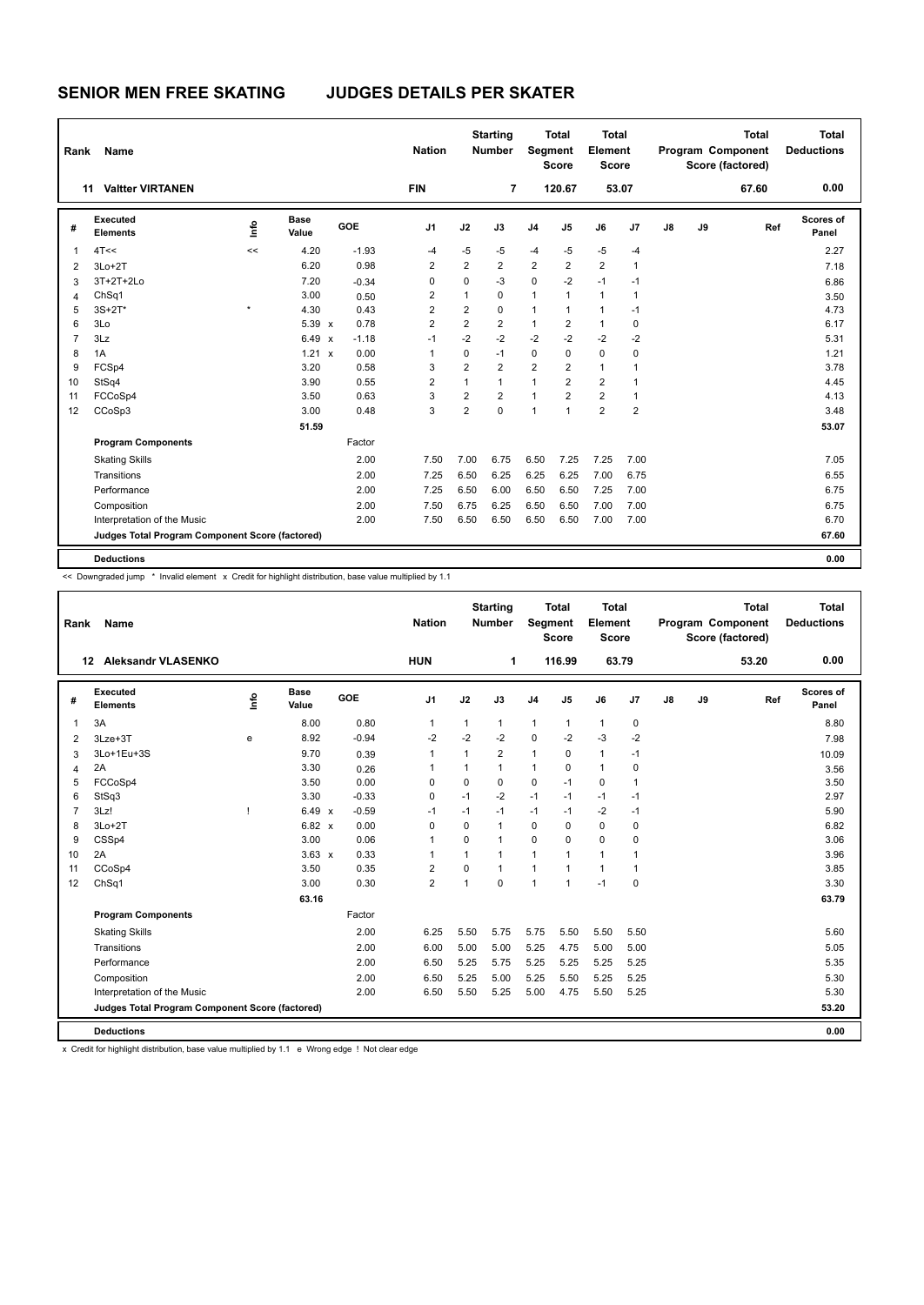| Rank           | <b>Name</b>                                     |         |               |         | <b>Nation</b>  |                | <b>Starting</b><br><b>Number</b> | Segment        | <b>Total</b><br><b>Score</b> | <b>Total</b><br>Element<br><b>Score</b> |                |    |    | <b>Total</b><br>Program Component<br>Score (factored) | <b>Total</b><br><b>Deductions</b> |
|----------------|-------------------------------------------------|---------|---------------|---------|----------------|----------------|----------------------------------|----------------|------------------------------|-----------------------------------------|----------------|----|----|-------------------------------------------------------|-----------------------------------|
|                | <b>Valtter VIRTANEN</b><br>11                   |         |               |         | <b>FIN</b>     |                | $\overline{7}$                   |                | 120.67                       | 53.07                                   |                |    |    | 67.60                                                 | 0.00                              |
| #              | Executed<br><b>Elements</b>                     | ١mfo    | Base<br>Value | GOE     | J <sub>1</sub> | J2             | J3                               | J <sub>4</sub> | J <sub>5</sub>               | J6                                      | J7             | J8 | J9 | Ref                                                   | Scores of<br>Panel                |
| $\overline{1}$ | 4T<<                                            | <<      | 4.20          | $-1.93$ | $-4$           | $-5$           | -5                               | $-4$           | $-5$                         | $-5$                                    | $-4$           |    |    |                                                       | 2.27                              |
| $\overline{2}$ | $3Lo+2T$                                        |         | 6.20          | 0.98    | 2              | $\overline{2}$ | $\overline{2}$                   | $\overline{2}$ | 2                            | $\overline{2}$                          | 1              |    |    |                                                       | 7.18                              |
| 3              | 3T+2T+2Lo                                       |         | 7.20          | $-0.34$ | 0              | $\mathbf 0$    | $-3$                             | $\mathbf 0$    | $-2$                         | $-1$                                    | $-1$           |    |    |                                                       | 6.86                              |
| 4              | ChSq1                                           |         | 3.00          | 0.50    | 2              | 1              | 0                                | $\mathbf{1}$   | 1                            | $\mathbf{1}$                            | 1              |    |    |                                                       | 3.50                              |
| 5              | $3S+2T^*$                                       | $\star$ | 4.30          | 0.43    | $\overline{2}$ | $\overline{2}$ | $\mathbf 0$                      | $\mathbf{1}$   | 1                            | $\overline{1}$                          | $-1$           |    |    |                                                       | 4.73                              |
| 6              | 3Lo                                             |         | $5.39 \times$ | 0.78    | $\overline{2}$ | $\overline{2}$ | $\overline{2}$                   | $\mathbf{1}$   | 2                            | $\mathbf{1}$                            | 0              |    |    |                                                       | 6.17                              |
| $\overline{7}$ | 3Lz                                             |         | 6.49 x        | $-1.18$ | $-1$           | $-2$           | $-2$                             | $-2$           | $-2$                         | $-2$                                    | $-2$           |    |    |                                                       | 5.31                              |
| 8              | 1A                                              |         | 1.21 x        | 0.00    | 1              | 0              | $-1$                             | $\mathbf 0$    | 0                            | $\mathbf 0$                             | 0              |    |    |                                                       | 1.21                              |
| 9              | FCSp4                                           |         | 3.20          | 0.58    | 3              | $\overline{2}$ | $\overline{2}$                   | $\overline{2}$ | $\overline{2}$               | $\mathbf{1}$                            | 1              |    |    |                                                       | 3.78                              |
| 10             | StSq4                                           |         | 3.90          | 0.55    | 2              | 1              | $\mathbf{1}$                     | $\mathbf{1}$   | $\overline{2}$               | $\overline{2}$                          | 1              |    |    |                                                       | 4.45                              |
| 11             | FCCoSp4                                         |         | 3.50          | 0.63    | 3              | $\overline{2}$ | $\overline{2}$                   | $\mathbf{1}$   | $\overline{2}$               | $\overline{2}$                          | 1              |    |    |                                                       | 4.13                              |
| 12             | CCoSp3                                          |         | 3.00          | 0.48    | 3              | $\overline{2}$ | $\Omega$                         | $\mathbf{1}$   | $\mathbf{1}$                 | $\overline{2}$                          | $\overline{2}$ |    |    |                                                       | 3.48                              |
|                |                                                 |         | 51.59         |         |                |                |                                  |                |                              |                                         |                |    |    |                                                       | 53.07                             |
|                | <b>Program Components</b>                       |         |               | Factor  |                |                |                                  |                |                              |                                         |                |    |    |                                                       |                                   |
|                | <b>Skating Skills</b>                           |         |               | 2.00    | 7.50           | 7.00           | 6.75                             | 6.50           | 7.25                         | 7.25                                    | 7.00           |    |    |                                                       | 7.05                              |
|                | Transitions                                     |         |               | 2.00    | 7.25           | 6.50           | 6.25                             | 6.25           | 6.25                         | 7.00                                    | 6.75           |    |    |                                                       | 6.55                              |
|                | Performance                                     |         |               | 2.00    | 7.25           | 6.50           | 6.00                             | 6.50           | 6.50                         | 7.25                                    | 7.00           |    |    |                                                       | 6.75                              |
|                | Composition                                     |         |               | 2.00    | 7.50           | 6.75           | 6.25                             | 6.50           | 6.50                         | 7.00                                    | 7.00           |    |    |                                                       | 6.75                              |
|                | Interpretation of the Music                     |         |               | 2.00    | 7.50           | 6.50           | 6.50                             | 6.50           | 6.50                         | 7.00                                    | 7.00           |    |    |                                                       | 6.70                              |
|                | Judges Total Program Component Score (factored) |         |               |         |                |                |                                  |                |                              |                                         |                |    |    |                                                       | 67.60                             |
|                | <b>Deductions</b>                               |         |               |         |                |                |                                  |                |                              |                                         |                |    |    |                                                       | 0.00                              |

<< Downgraded jump \* Invalid element x Credit for highlight distribution, base value multiplied by 1.1

| Rank           | Name                                            |      |               |         | <b>Nation</b>  |              | <b>Starting</b><br><b>Number</b> | Segment        | <b>Total</b><br><b>Score</b> | Total<br>Element<br><b>Score</b> |              |               |    | <b>Total</b><br>Program Component<br>Score (factored) | <b>Total</b><br><b>Deductions</b> |
|----------------|-------------------------------------------------|------|---------------|---------|----------------|--------------|----------------------------------|----------------|------------------------------|----------------------------------|--------------|---------------|----|-------------------------------------------------------|-----------------------------------|
|                | <b>Aleksandr VLASENKO</b><br>12                 |      |               |         | <b>HUN</b>     |              | 1                                |                | 116.99                       |                                  | 63.79        |               |    | 53.20                                                 | 0.00                              |
| #              | Executed<br><b>Elements</b>                     | ١nf٥ | Base<br>Value | GOE     | J <sub>1</sub> | J2           | J3                               | J <sub>4</sub> | J <sub>5</sub>               | J6                               | J7           | $\mathsf{J}8$ | J9 | Ref                                                   | Scores of<br>Panel                |
| $\mathbf{1}$   | 3A                                              |      | 8.00          | 0.80    | $\mathbf{1}$   | $\mathbf{1}$ | $\mathbf{1}$                     | $\mathbf{1}$   | $\mathbf{1}$                 | $\mathbf{1}$                     | 0            |               |    |                                                       | 8.80                              |
| 2              | $3Lze+3T$                                       | e    | 8.92          | $-0.94$ | $-2$           | $-2$         | $-2$                             | $\mathbf 0$    | $-2$                         | $-3$                             | $-2$         |               |    |                                                       | 7.98                              |
| 3              | 3Lo+1Eu+3S                                      |      | 9.70          | 0.39    | 1              | 1            | 2                                | $\mathbf{1}$   | $\mathbf 0$                  | $\mathbf{1}$                     | $-1$         |               |    |                                                       | 10.09                             |
| $\overline{4}$ | 2A                                              |      | 3.30          | 0.26    | 1              | 1            | 1                                | $\mathbf{1}$   | $\Omega$                     | $\mathbf{1}$                     | 0            |               |    |                                                       | 3.56                              |
| 5              | FCCoSp4                                         |      | 3.50          | 0.00    | $\Omega$       | $\mathbf 0$  | $\Omega$                         | $\mathbf 0$    | $-1$                         | $\Omega$                         | $\mathbf{1}$ |               |    |                                                       | 3.50                              |
| 6              | StSq3                                           |      | 3.30          | $-0.33$ | $\Omega$       | $-1$         | $-2$                             | $-1$           | $-1$                         | $-1$                             | $-1$         |               |    |                                                       | 2.97                              |
| $\overline{7}$ | 3Lz!                                            |      | 6.49 x        | $-0.59$ | $-1$           | $-1$         | $-1$                             | $-1$           | $-1$                         | $-2$                             | $-1$         |               |    |                                                       | 5.90                              |
| 8              | $3Lo+2T$                                        |      | 6.82 x        | 0.00    | $\Omega$       | $\Omega$     | 1                                | $\Omega$       | $\Omega$                     | $\Omega$                         | 0            |               |    |                                                       | 6.82                              |
| 9              | CSSp4                                           |      | 3.00          | 0.06    | 1              | $\Omega$     | 1                                | $\Omega$       | $\Omega$                     | $\mathbf 0$                      | 0            |               |    |                                                       | 3.06                              |
| 10             | 2A                                              |      | $3.63 \times$ | 0.33    | 1              | 1            | 1                                | $\mathbf{1}$   | $\mathbf{1}$                 | $\mathbf{1}$                     | 1            |               |    |                                                       | 3.96                              |
| 11             | CCoSp4                                          |      | 3.50          | 0.35    | $\overline{2}$ | 0            | $\mathbf{1}$                     | $\mathbf{1}$   | $\mathbf{1}$                 | $\mathbf{1}$                     | $\mathbf{1}$ |               |    |                                                       | 3.85                              |
| 12             | ChSq1                                           |      | 3.00          | 0.30    | $\overline{2}$ | 1            | $\Omega$                         | $\mathbf{1}$   | 1                            | $-1$                             | 0            |               |    |                                                       | 3.30                              |
|                |                                                 |      | 63.16         |         |                |              |                                  |                |                              |                                  |              |               |    |                                                       | 63.79                             |
|                | <b>Program Components</b>                       |      |               | Factor  |                |              |                                  |                |                              |                                  |              |               |    |                                                       |                                   |
|                | <b>Skating Skills</b>                           |      |               | 2.00    | 6.25           | 5.50         | 5.75                             | 5.75           | 5.50                         | 5.50                             | 5.50         |               |    |                                                       | 5.60                              |
|                | Transitions                                     |      |               | 2.00    | 6.00           | 5.00         | 5.00                             | 5.25           | 4.75                         | 5.00                             | 5.00         |               |    |                                                       | 5.05                              |
|                | Performance                                     |      |               | 2.00    | 6.50           | 5.25         | 5.75                             | 5.25           | 5.25                         | 5.25                             | 5.25         |               |    |                                                       | 5.35                              |
|                | Composition                                     |      |               | 2.00    | 6.50           | 5.25         | 5.00                             | 5.25           | 5.50                         | 5.25                             | 5.25         |               |    |                                                       | 5.30                              |
|                | Interpretation of the Music                     |      |               | 2.00    | 6.50           | 5.50         | 5.25                             | 5.00           | 4.75                         | 5.50                             | 5.25         |               |    |                                                       | 5.30                              |
|                | Judges Total Program Component Score (factored) |      |               |         |                |              |                                  |                |                              |                                  |              |               |    |                                                       | 53.20                             |
|                | <b>Deductions</b>                               |      |               |         |                |              |                                  |                |                              |                                  |              |               |    |                                                       | 0.00                              |

x Credit for highlight distribution, base value multiplied by 1.1 e Wrong edge ! Not clear edge